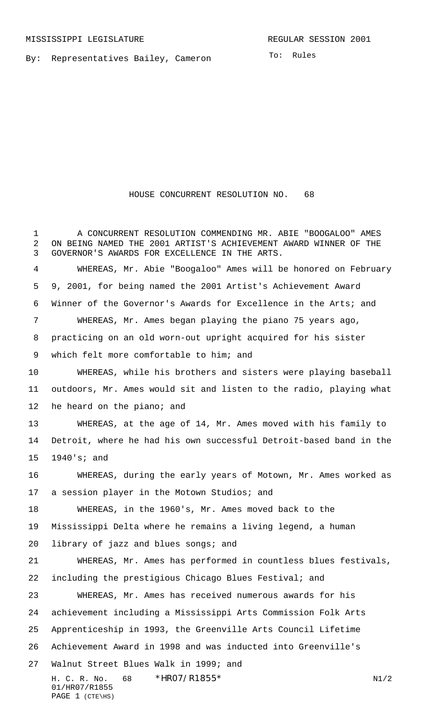By: Representatives Bailey, Cameron

To: Rules

## HOUSE CONCURRENT RESOLUTION NO. 68

H. C. R. No.  $68 * HRO7/R1855*$  N1/2 01/HR07/R1855 PAGE 1 (CTE\HS) A CONCURRENT RESOLUTION COMMENDING MR. ABIE "BOOGALOO" AMES ON BEING NAMED THE 2001 ARTIST'S ACHIEVEMENT AWARD WINNER OF THE GOVERNOR'S AWARDS FOR EXCELLENCE IN THE ARTS. WHEREAS, Mr. Abie "Boogaloo" Ames will be honored on February 9, 2001, for being named the 2001 Artist's Achievement Award Winner of the Governor's Awards for Excellence in the Arts; and WHEREAS, Mr. Ames began playing the piano 75 years ago, practicing on an old worn-out upright acquired for his sister which felt more comfortable to him; and WHEREAS, while his brothers and sisters were playing baseball outdoors, Mr. Ames would sit and listen to the radio, playing what he heard on the piano; and WHEREAS, at the age of 14, Mr. Ames moved with his family to Detroit, where he had his own successful Detroit-based band in the 1940's; and WHEREAS, during the early years of Motown, Mr. Ames worked as a session player in the Motown Studios; and WHEREAS, in the 1960's, Mr. Ames moved back to the Mississippi Delta where he remains a living legend, a human library of jazz and blues songs; and WHEREAS, Mr. Ames has performed in countless blues festivals, including the prestigious Chicago Blues Festival; and WHEREAS, Mr. Ames has received numerous awards for his achievement including a Mississippi Arts Commission Folk Arts Apprenticeship in 1993, the Greenville Arts Council Lifetime Achievement Award in 1998 and was inducted into Greenville's Walnut Street Blues Walk in 1999; and